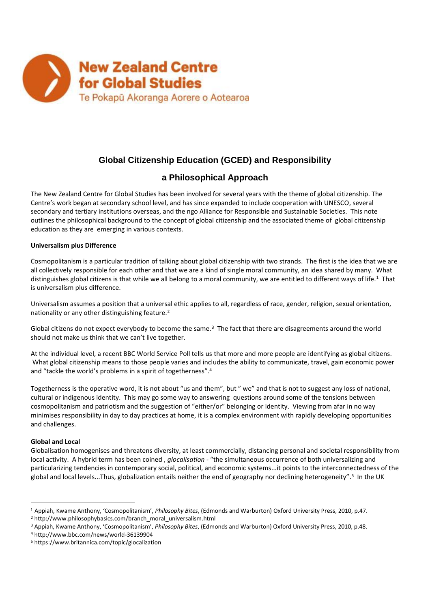

# **Global Citizenship Education (GCED) and Responsibility**

## **a Philosophical Approach**

The New Zealand Centre for Global Studies has been involved for several years with the theme of global citizenship. The Centre's work began at secondary school level, and has since expanded to include cooperation with UNESCO, several secondary and tertiary institutions overseas, and the ngo Alliance for Responsible and Sustainable Societies. This note outlines the philosophical background to the concept of global citizenship and the associated theme of global citizenship education as they are emerging in various contexts.

## **Universalism plus Difference**

Cosmopolitanism is a particular tradition of talking about global citizenship with two strands. The first is the idea that we are all collectively responsible for each other and that we are a kind of single moral community, an idea shared by many. What distinguishes global citizens is that while we all belong to a moral community, we are entitled to different ways of life.<sup>1</sup> That is universalism plus difference.

Universalism assumes a position that a universal ethic applies to all, regardless of race, gender, religion, sexual orientation, nationality or any other distinguishing feature.<sup>2</sup>

Global citizens do not expect everybody to become the same. $3$  The fact that there are disagreements around the world should not make us think that we can't live together.

At the individual level, a recent BBC World Service Poll tells us that more and more people are identifying as global citizens. What global citizenship means to those people varies and includes the ability to communicate, travel, gain economic power and "tackle the world's problems in a spirit of togetherness".<sup>4</sup>

Togetherness is the operative word, it is not about "us and them", but " we" and that is not to suggest any loss of national, cultural or indigenous identity. This may go some way to answering questions around some of the tensions between cosmopolitanism and patriotism and the suggestion of "either/or" belonging or identity. Viewing from afar in no way minimises responsibility in day to day practices at home, it is a complex environment with rapidly developing opportunities and challenges.

## **Global and Local**

 $\overline{a}$ 

Globalisation homogenises and threatens diversity, at least commercially, distancing personal and societal responsibility from local activity. A hybrid term has been coined , *glocalisation -* "the simultaneous occurrence of both universalizing and particularizing tendencies in contemporary social, political, and economic systems...it points to the interconnectedness of the global and local levels...Thus, globalization entails neither the end of geography nor declining heterogeneity".<sup>5</sup> In the UK

<sup>1</sup> Appiah, Kwame Anthony, 'Cosmopolitanism', *Philosophy Bites*, (Edmonds and Warburton) Oxford University Press, 2010, p.47.

<sup>&</sup>lt;sup>2</sup> http://www.philosophybasics.com/branch\_moral\_universalism.html

<sup>3</sup> Appiah, Kwame Anthony, 'Cosmopolitanism', *Philosophy Bites*, (Edmonds and Warburton) Oxford University Press, 2010, p.48.

<sup>4</sup> http://www.bbc.com/news/world-36139904

<sup>5</sup> https://www.britannica.com/topic/glocalization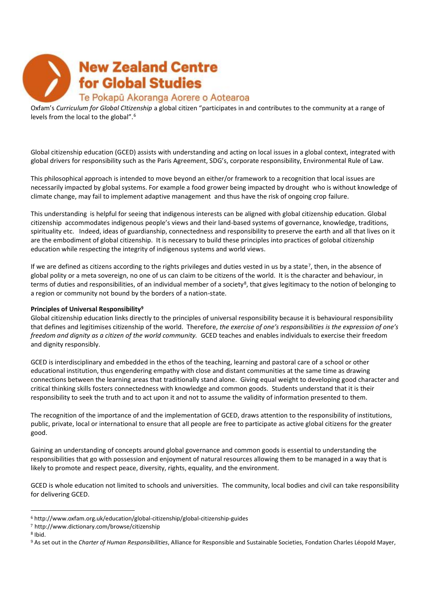

Oxfam's *Curriculum for Global CItizenship* a global citizen "participates in and contributes to the community at a range of levels from the local to the global".<sup>6</sup>

Global citizenship education (GCED) assists with understanding and acting on local issues in a global context, integrated with global drivers for responsibility such as the Paris Agreement, SDG's, corporate responsibility, Environmental Rule of Law.

This philosophical approach is intended to move beyond an either/or framework to a recognition that local issues are necessarily impacted by global systems. For example a food grower being impacted by drought who is without knowledge of climate change, may fail to implement adaptive management and thus have the risk of ongoing crop failure.

This understanding is helpful for seeing that indigenous interests can be aligned with global citizenship education. Global citizenship accommodates indigenous people's views and their land-based systems of governance, knowledge, traditions, spirituality etc. Indeed, ideas of guardianship, connectedness and responsibility to preserve the earth and all that lives on it are the embodiment of global citizenship. It is necessary to build these principles into practices of golobal citizenship education while respecting the integrity of indigenous systems and world views.

If we are defined as citizens according to the rights privileges and duties vested in us by a state<sup>7</sup>, then, in the absence of global polity or a meta sovereign, no one of us can claim to be citizens of the world. It is the character and behaviour, in terms of duties and responsibilities, of an individual member of a society<sup>8</sup>, that gives legitimacy to the notion of belonging to a region or community not bound by the borders of a nation-state.

## **Principles of Universal Responsibility<sup>9</sup>**

Global citizenship education links directly to the principles of universal responsibility because it is behavioural responsibility that defines and legitimises citizenship of the world. Therefore, *the exercise of one's responsibilities is the expression of one's freedom and dignity as a citizen of the world community.* GCED teaches and enables individuals to exercise their freedom and dignity responsibly.

GCED is interdisciplinary and embedded in the ethos of the teaching, learning and pastoral care of a school or other educational institution, thus engendering empathy with close and distant communities at the same time as drawing connections between the learning areas that traditionally stand alone. Giving equal weight to developing good character and critical thinking skills fosters connectedness with knowledge and common goods. Students understand that it is their responsibility to seek the truth and to act upon it and not to assume the validity of information presented to them.

The recognition of the importance of and the implementation of GCED, draws attention to the responsibility of institutions, public, private, local or international to ensure that all people are free to participate as active global citizens for the greater good.

Gaining an understanding of concepts around global governance and common goods is essential to understanding the responsibilities that go with possession and enjoyment of natural resources allowing them to be managed in a way that is likely to promote and respect peace, diversity, rights, equality, and the environment.

GCED is whole education not limited to schools and universities. The community, local bodies and civil can take responsibility for delivering GCED.

 $\overline{a}$ 

<sup>6</sup> http://www.oxfam.org.uk/education/global-citizenship/global-citizenship-guides

<sup>7</sup> http://www.dictionary.com/browse/citizenship

<sup>8</sup> Ibid.

<sup>9</sup> As set out in the *Charter of Human Responsibilities*, Alliance for Responsible and Sustainable Societies, Fondation Charles Léopold Mayer,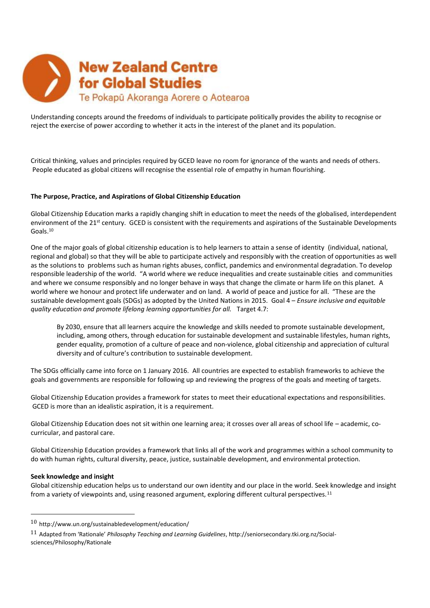

Understanding concepts around the freedoms of individuals to participate politically provides the ability to recognise or reject the exercise of power according to whether it acts in the interest of the planet and its population.

Critical thinking, values and principles required by GCED leave no room for ignorance of the wants and needs of others. People educated as global citizens will recognise the essential role of empathy in human flourishing.

#### **The Purpose, Practice, and Aspirations of Global Citizenship Education**

Global Citizenship Education marks a rapidly changing shift in education to meet the needs of the globalised, interdependent environment of the 21<sup>st</sup> century. GCED is consistent with the requirements and aspirations of the Sustainable Developments Goals.<sup>10</sup>

One of the major goals of global citizenship education is to help learners to attain a sense of identity (individual, national, regional and global) so that they will be able to participate actively and responsibly with the creation of opportunities as well as the solutions to problems such as human rights abuses, conflict, pandemics and environmental degradation. To develop responsible leadership of the world. "A world where we reduce inequalities and create sustainable cities and communities and where we consume responsibly and no longer behave in ways that change the climate or harm life on this planet. A world where we honour and protect life underwater and on land. A world of peace and justice for all. "These are the sustainable development goals (SDGs) as adopted by the United Nations in 2015. Goal 4 – *Ensure inclusive and equitable quality education and promote lifelong learning opportunities for all.* Target 4.7:

By 2030, ensure that all learners acquire the knowledge and skills needed to promote sustainable development, including, among others, through education for sustainable development and sustainable lifestyles, human rights, gender equality, promotion of a culture of peace and non-violence, global citizenship and appreciation of cultural diversity and of culture's contribution to sustainable development.

The SDGs officially came into force on 1 January 2016. All countries are expected to establish frameworks to achieve the goals and governments are responsible for following up and reviewing the progress of the goals and meeting of targets.

Global Citizenship Education provides a framework for states to meet their educational expectations and responsibilities. GCED is more than an idealistic aspiration, it is a requirement.

Global Citizenship Education does not sit within one learning area; it crosses over all areas of school life – academic, cocurricular, and pastoral care.

Global Citizenship Education provides a framework that links all of the work and programmes within a school community to do with human rights, cultural diversity, peace, justice, sustainable development, and environmental protection.

#### **Seek knowledge and insight**

 $\overline{a}$ 

Global citizenship education helps us to understand our own identity and our place in the world. Seek knowledge and insight from a variety of viewpoints and, using reasoned argument, exploring different cultural perspectives.<sup>11</sup>

<sup>10</sup> http://www.un.org/sustainabledevelopment/education/

<sup>11</sup> Adapted from 'Rationale' *Philosophy Teaching and Learning Guidelines*, http://seniorsecondary.tki.org.nz/Socialsciences/Philosophy/Rationale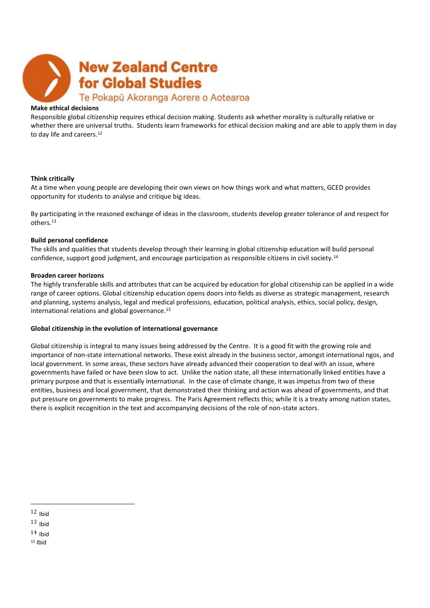

#### **Make ethical decisions**

Responsible global citizenship requires ethical decision making. Students ask whether morality is culturally relative or whether there are universal truths. Students learn frameworks for ethical decision making and are able to apply them in day to day life and careers.<sup>12</sup>

#### **Think critically**

At a time when young people are developing their own views on how things work and what matters, GCED provides opportunity for students to analyse and critique big ideas.

By participating in the reasoned exchange of ideas in the classroom, students develop greater tolerance of and respect for others.<sup>13</sup>

## **Build personal confidence**

The skills and qualities that students develop through their learning in global citizenship education will build personal confidence, support good judgment, and encourage participation as responsible citizens in civil society.<sup>14</sup>

#### **Broaden career horizons**

The highly transferable skills and attributes that can be acquired by education for global citizenship can be applied in a wide range of career options. Global citizenship education opens doors into fields as diverse as strategic management, research and planning, systems analysis, legal and medical professions, education, political analysis, ethics, social policy, design, international relations and global governance.<sup>15</sup>

## **Global citizenship in the evolution of international governance**

Global citizenship is integral to many issues being addressed by the Centre. It is a good fit with the growing role and importance of non-state international networks. These exist already in the business sector, amongst international ngos, and local government. In some areas, these sectors have already advanced their cooperation to deal with an issue, where governments have failed or have been slow to act. Unlike the nation state, all these internationally linked entities have a primary purpose and that is essentially international. In the case of climate change, it was impetus from two of these entities, business and local government, that demonstrated their thinking and action was ahead of governments, and that put pressure on governments to make progress. The Paris Agreement reflects this; while it is a treaty among nation states, there is explicit recognition in the text and accompanying decisions of the role of non-state actors.

 $\overline{a}$ 

 $14$  Ihid

 $15$  Ibid

 $12$  Ihid

 $13$  Ihid